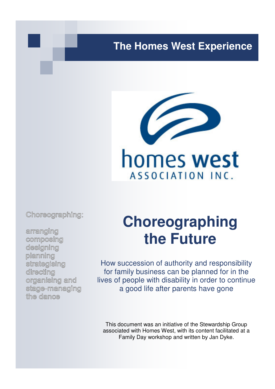## **The Homes West Experience**



Choreographing:

arranging composing designing planning strategising directing organising and stage-managing the dance

# **Choreographing the Future**

How succession of authority and responsibility for family business can be planned for in the lives of people with disability in order to continue a good life after parents have gone

This document was an initiative of the Stewardship Group associated with Homes West, with its content facilitated at a Family Day workshop and written by Jan Dyke.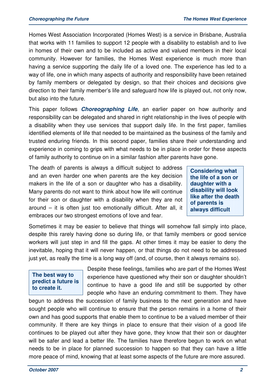Homes West Association Incorporated (Homes West) is a service in Brisbane, Australia that works with 11 families to support 12 people with a disability to establish and to live in homes of their own and to be included as active and valued members in their local community. However for families, the Homes West experience is much more than having a service supporting the daily life of a loved one. The experience has led to a way of life, one in which many aspects of authority and responsibility have been retained by family members or delegated by design, so that their choices and decisions give direction to their family member's life and safeguard how life is played out, not only now, but also into the future.

This paper follows **Choreographing Life**, an earlier paper on how authority and responsibility can be delegated and shared in right relationship in the lives of people with a disability when they use services that support daily life. In the first paper, families identified elements of life that needed to be maintained as the business of the family and trusted enduring friends. In this second paper, families share their understanding and experience in coming to grips with what needs to be in place in order for these aspects of family authority to continue on in a similar fashion after parents have gone.

The death of parents is always a difficult subject to address and an even harder one when parents are the key decision makers in the life of a son or daughter who has a disability. Many parents do not want to think about how life will continue for their son or daughter with a disability when they are not around – it is often just too emotionally difficult. After all, it embraces our two strongest emotions of love and fear.

**Considering what the life of a son or daughter with a disability will look like after the death of parents is always difficult** 

Sometimes it may be easier to believe that things will somehow fall simply into place, despite this rarely having done so during life, or that family members or good service workers will just step in and fill the gaps. At other times it may be easier to deny the inevitable, hoping that it will never happen, or that things do not need to be addressed just yet, as really the time is a long way off (and, of course, then it always remains so).

#### **The best way to predict a future is to create it.**

Despite these feelings, families who are part of the Homes West experience have questioned why their son or daughter shouldn't continue to have a good life and still be supported by other people who have an enduring commitment to them. They have

begun to address the succession of family business to the next generation and have sought people who will continue to ensure that the person remains in a home of their own and has good supports that enable them to continue to be a valued member of their community. If there are key things in place to ensure that their vision of a good life continues to be played out after they have gone, they know that their son or daughter will be safer and lead a better life. The families have therefore begun to work on what needs to be in place for planned succession to happen so that they can have a little more peace of mind, knowing that at least some aspects of the future are more assured.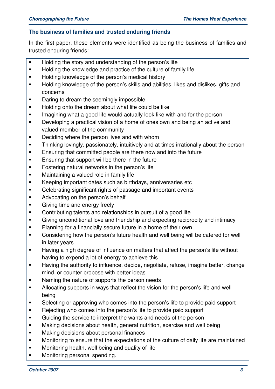#### **The business of families and trusted enduring friends**

In the first paper, these elements were identified as being the business of families and trusted enduring friends:

- **Holding the story and understanding of the person's life**
- **Holding the knowledge and practice of the culture of family life**
- **Holding knowledge of the person's medical history**
- **Holding knowledge of the person's skills and abilities, likes and dislikes, gifts and** concerns
- **•** Daring to dream the seemingly impossible
- **Holding onto the dream about what life could be like**
- **IMAGO** Imagining what a good life would actually look like with and for the person
- **Developing a practical vision of a home of ones own and being an active and** valued member of the community
- **•** Deciding where the person lives and with whom
- **Thinking lovingly, passionately, intuitively and at times irrationally about the person**
- **Ensuring that committed people are there now and into the future**
- **Ensuring that support will be there in the future**
- **Fostering natural networks in the person's life**
- **Maintaining a valued role in family life**
- Keeping important dates such as birthdays, anniversaries etc
- Celebrating significant rights of passage and important events
- Advocating on the person's behalf
- **EXEC** Giving time and energy freely
- **Contributing talents and relationships in pursuit of a good life**
- Giving unconditional love and friendship and expecting reciprocity and intimacy
- **Planning for a financially secure future in a home of their own**
- Considering how the person's future health and well being will be catered for well in later years
- Having a high degree of influence on matters that affect the person's life without having to expend a lot of energy to achieve this
- Having the authority to influence, decide, negotiate, refuse, imagine better, change mind, or counter propose with better ideas
- Naming the nature of supports the person needs
- Allocating supports in ways that reflect the vision for the person's life and well being
- Selecting or approving who comes into the person's life to provide paid support
- Rejecting who comes into the person's life to provide paid support
- Guiding the service to interpret the wants and needs of the person
- **Making decisions about health, general nutrition, exercise and well being**
- **Making decisions about personal finances**
- **Monitoring to ensure that the expectations of the culture of daily life are maintained**
- **Monitoring health, well being and quality of life**
- **Monitoring personal spending.**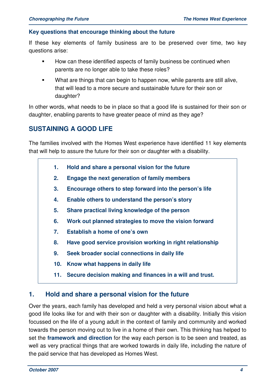#### **Key questions that encourage thinking about the future**

If these key elements of family business are to be preserved over time, two key questions arise:

- How can these identified aspects of family business be continued when parents are no longer able to take these roles?
- What are things that can begin to happen now, while parents are still alive, that will lead to a more secure and sustainable future for their son or daughter?

In other words, what needs to be in place so that a good life is sustained for their son or daughter, enabling parents to have greater peace of mind as they age?

### **SUSTAINING A GOOD LIFE**

The families involved with the Homes West experience have identified 11 key elements that will help to assure the future for their son or daughter with a disability.

- **1. Hold and share a personal vision for the future**
- **2. Engage the next generation of family members**
- **3. Encourage others to step forward into the person's life**
- **4. Enable others to understand the person's story**
- **5. Share practical living knowledge of the person**
- **6. Work out planned strategies to move the vision forward**
- **7. Establish a home of one's own**
- **8. Have good service provision working in right relationship**
- **9. Seek broader social connections in daily life**
- **10. Know what happens in daily life**
- **11. Secure decision making and finances in a will and trust.**

#### **1. Hold and share a personal vision for the future**

Over the years, each family has developed and held a very personal vision about what a good life looks like for and with their son or daughter with a disability. Initially this vision focussed on the life of a young adult in the context of family and community and worked towards the person moving out to live in a home of their own. This thinking has helped to set the **framework and direction** for the way each person is to be seen and treated, as well as very practical things that are worked towards in daily life, including the nature of the paid service that has developed as Homes West.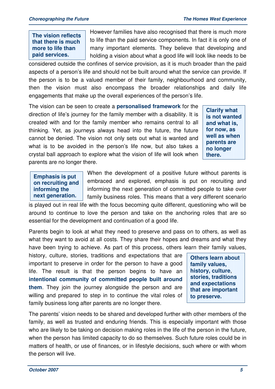**The vision reflects that there is much more to life than paid services.** 

However families have also recognised that there is much more to life than the paid service components. In fact it is only one of many important elements. They believe that developing and holding a vision about what a good life will look like needs to be

considered outside the confines of service provision, as it is much broader than the paid aspects of a person's life and should not be built around what the service can provide. If the person is to be a valued member of their family, neighbourhood and community, then the vision must also encompass the broader relationships and daily life engagements that make up the overall experiences of the person's life.

The vision can be seen to create a **personalised framework** for the direction of life's journey for the family member with a disability. It is created with and for the family member who remains central to all thinking. Yet, as journeys always head into the future, the future cannot be denied. The vision not only sets out what is wanted and what is to be avoided in the person's life now, but also takes a crystal ball approach to explore what the vision of life will look when parents are no longer there.

**Clarify what is not wanted and what is, for now, as well as when parents are no longer there.**

**Emphasis is put on recruiting and informing the next generation.** 

When the development of a positive future without parents is embraced and explored, emphasis is put on recruiting and informing the next generation of committed people to take over family business roles. This means that a very different scenario

is played out in real life with the focus becoming quite different, questioning who will be around to continue to love the person and take on the anchoring roles that are so essential for the development and continuation of a good life.

Parents begin to look at what they need to preserve and pass on to others, as well as what they want to avoid at all costs. They share their hopes and dreams and what they have been trying to achieve. As part of this process, others learn their family values,

history, culture, stories, traditions and expectations that are important to preserve in order for the person to have a good life. The result is that the person begins to have an **intentional community of committed people built around them**. They join the journey alongside the person and are willing and prepared to step in to continue the vital roles of family business long after parents are no longer there.

**Others learn about family values, history, culture**, **stories, traditions and expectations that are important to preserve.** 

The parents' vision needs to be shared and developed further with other members of the family, as well as trusted and enduring friends. This is especially important with those who are likely to be taking on decision making roles in the life of the person in the future, when the person has limited capacity to do so themselves. Such future roles could be in matters of health, or use of finances, or in lifestyle decisions, such where or with whom the person will live.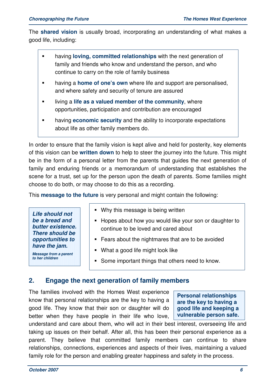The **shared vision** is usually broad, incorporating an understanding of what makes a good life, including:

- having **loving, committed relationships** with the next generation of family and friends who know and understand the person, and who continue to carry on the role of family business
- **having a home of one's own** where life and support are personalised, and where safety and security of tenure are assured
- **IDED** living a life as a valued member of the community, where opportunities, participation and contribution are encouraged
- having **economic security** and the ability to incorporate expectations about life as other family members do.

In order to ensure that the family vision is kept alive and held for posterity, key elements of this vision can be **written down** to help to steer the journey into the future. This might be in the form of a personal letter from the parents that guides the next generation of family and enduring friends or a memorandum of understanding that establishes the scene for a trust, set up for the person upon the death of parents. Some families might choose to do both, or may choose to do this as a recording.

This **message to the future** is very personal and might contain the following:

**Life should not be a bread and butter existence. There should be opportunities to have the jam.** 

- Why this message is being written
- **Hopes about how you would like your son or daughter to** continue to be loved and cared about
- **Fears about the nightmares that are to be avoided**
- **Message from a parent to her children**
- What a good life might look like
- Some important things that others need to know.

#### **2. Engage the next generation of family members**

The families involved with the Homes West experience know that personal relationships are the key to having a good life. They know that their son or daughter will do better when they have people in their life who love,

**Personal relationships are the key to having a good life and keeping a vulnerable person safe.** 

understand and care about them, who will act in their best interest, overseeing life and taking up issues on their behalf. After all, this has been their personal experience as a parent. They believe that committed family members can continue to share relationships, connections, experiences and aspects of their lives, maintaining a valued family role for the person and enabling greater happiness and safety in the process.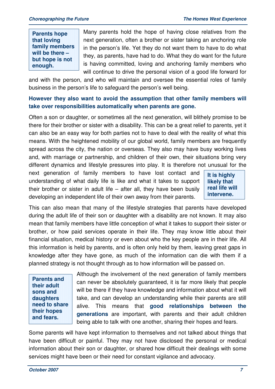**Parents hope that loving family members will be there – but hope is not enough.**

Many parents hold the hope of having close relatives from the next generation, often a brother or sister taking an anchoring role in the person's life. Yet they do not want them to have to do what they, as parents, have had to do. What they do want for the future is having committed, loving and anchoring family members who will continue to drive the personal vision of a good life forward for

and with the person, and who will maintain and oversee the essential roles of family business in the person's life to safeguard the person's well being.

#### **However they also want to avoid the assumption that other family members will take over responsibilities automatically when parents are gone.**

Often a son or daughter, or sometimes all the next generation, will blithely promise to be there for their brother or sister with a disability. This can be a great relief to parents, yet it can also be an easy way for both parties not to have to deal with the reality of what this means. With the heightened mobility of our global world, family members are frequently spread across the city, the nation or overseas. They also may have busy working lives and, with marriage or partnership, and children of their own, their situations bring very different dynamics and lifestyle pressures into play. It is therefore not unusual for the

next generation of family members to have lost contact and understanding of what daily life is like and what it takes to support their brother or sister in adult life – after all, they have been busily developing an independent life of their own away from their parents.

**It is highly likely that real life will intervene.** 

This can also mean that many of the lifestyle strategies that parents have developed during the adult life of their son or daughter with a disability are not known. It may also mean that family members have little conception of what it takes to support their sister or brother, or how paid services operate in their life. They may know little about their financial situation, medical history or even about who the key people are in their life. All this information is held by parents, and is often only held by them, leaving great gaps in knowledge after they have gone, as much of the information can die with them if a planned strategy is not thought through as to how information will be passed on.

**Parents and their adult sons and daughters need to share their hopes and fears.** 

Although the involvement of the next generation of family members can never be absolutely guaranteed, it is far more likely that people will be there if they have knowledge and information about what it will take, and can develop an understanding while their parents are still alive. This means that **good relationships between the generations** are important, with parents and their adult children being able to talk with one another, sharing their hopes and fears.

Some parents will have kept information to themselves and not talked about things that have been difficult or painful. They may not have disclosed the personal or medical information about their son or daughter, or shared how difficult their dealings with some services might have been or their need for constant vigilance and advocacy.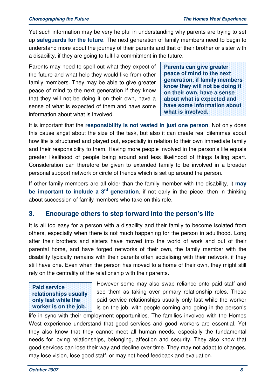Yet such information may be very helpful in understanding why parents are trying to set up **safeguards for the future**. The next generation of family members need to begin to understand more about the journey of their parents and that of their brother or sister with a disability, if they are going to fulfil a commitment in the future.

Parents may need to spell out what they expect of the future and what help they would like from other family members. They may be able to give greater peace of mind to the next generation if they know that they will not be doing it on their own, have a sense of what is expected of them and have some information about what is involved.

**Parents can give greater peace of mind to the next generation, if family members know they will not be doing it on their own, have a sense about what is expected and have some information about what is involved.**

It is important that the **responsibility is not vested in just one person**. Not only does this cause angst about the size of the task, but also it can create real dilemmas about how life is structured and played out, especially in relation to their own immediate family and their responsibility to them. Having more people involved in the person's life equals greater likelihood of people being around and less likelihood of things falling apart. Consideration can therefore be given to extended family to be involved in a broader personal support network or circle of friends which is set up around the person.

If other family members are all older than the family member with the disability, it **may be important to include a 3rd generation**, if not early in the piece, then in thinking about succession of family members who take on this role.

#### **3. Encourage others to step forward into the person's life**

It is all too easy for a person with a disability and their family to become isolated from others, especially when there is not much happening for the person in adulthood. Long after their brothers and sisters have moved into the world of work and out of their parental home, and have forged networks of their own, the family member with the disability typically remains with their parents often socialising with their network, if they still have one. Even when the person has moved to a home of their own, they might still rely on the centrality of the relationship with their parents.

**Paid service relationships usually only last while the worker is on the job.** 

However some may also swap reliance onto paid staff and see them as taking over primary relationship roles. These paid service relationships usually only last while the worker is on the job, with people coming and going in the person's

life in sync with their employment opportunities. The families involved with the Homes West experience understand that good services and good workers are essential. Yet they also know that they cannot meet all human needs, especially the fundamental needs for loving relationships, belonging, affection and security. They also know that good services can lose their way and decline over time. They may not adapt to changes, may lose vision, lose good staff, or may not heed feedback and evaluation.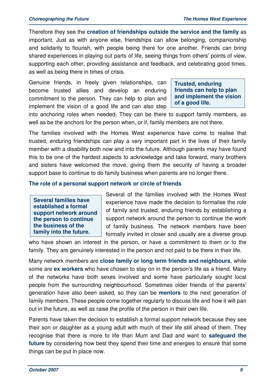Therefore they see the **creation of friendships outside the service and the family** as important. Just as with anyone else, friendships can allow belonging, companionship and solidarity to flourish, with people being there for one another. Friends can bring shared experiences in playing out parts of life, seeing things from others' points of view, supporting each other, providing assistance and feedback, and celebrating good times, as well as being there in times of crisis.

Genuine friends, in freely given relationships, can become trusted allies and develop an enduring commitment to the person. They can help to plan and implement the vision of a good life and can also step

**Trusted, enduring friends can help to plan and implement the vision of a good life.** 

into anchoring roles when needed, They can be there to support family members, as well as be the anchors for the person when, or if, family members are not there.

The families involved with the Homes West experience have come to realise that trusted, enduring friendships can play a very important part in the lives of their family member with a disability both now and into the future. Although parents may have found this to be one of the hardest aspects to acknowledge and take forward, many brothers and sisters have welcomed the move, giving them the security of having a broader support base to continue to do family business when parents are no longer there.

#### **The role of a personal support network or circle of friends**

**Several families have established a formal support network around the person to continue the business of the family into the future.**

Several of the families involved with the Homes West experience have made the decision to formalise the role of family and trusted, enduring friends by establishing a support network around the person to continue the work of family business. The network members have been formally invited in closer and usually are a diverse group

who have shown an interest in the person, or have a commitment to them or to the family. They are genuinely interested in the person and not paid to be there in their life.

Many network members are **close family or long term friends and neighbours**, while some are **ex workers** who have chosen to stay on in the person's life as a friend. Many of the networks have both sexes involved and some have particularly sought local people from the surrounding neighbourhood. Sometimes older friends of the parents' generation have also been asked, so they can be **mentors** to the next generation of family members. These people come together regularly to discuss life and how it will pan out in the future, as well as raise the profile of the person in their own life.

Parents have taken the decision to establish a formal support network because they see their son or daughter as a young adult with much of their life still ahead of them. They recognise that there is more to life than Mum and Dad and want to **safeguard the future** by considering how best they spend their time and energies to ensure that some things can be put in place now.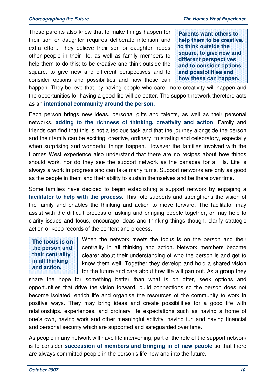These parents also know that to make things happen for their son or daughter requires deliberate intention and extra effort. They believe their son or daughter needs other people in their life, as well as family members to help them to do this; to be creative and think outside the square, to give new and different perspectives and to consider options and possibilities and how these can **Parents want others to help them to be creative, to think outside the square, to give new and different perspectives and to consider options and possibilities and how these can happen.**

happen. They believe that, by having people who care, more creativity will happen and the opportunities for having a good life will be better. The support network therefore acts as an **intentional community around the person.** 

Each person brings new ideas, personal gifts and talents, as well as their personal networks, **adding to the richness of thinking, creativity and action**. Family and friends can find that this is not a tedious task and that the journey alongside the person and their family can be exciting, creative, ordinary, frustrating and celebratory, especially when surprising and wonderful things happen. However the families involved with the Homes West experience also understand that there are no recipes about how things should work, nor do they see the support network as the panacea for all ills. Life is always a work in progress and can take many turns. Support networks are only as good as the people in them and their ability to sustain themselves and be there over time.

Some families have decided to begin establishing a support network by engaging a **facilitator to help with the process**. This role supports and strengthens the vision of the family and enables the thinking and action to move forward. The facilitator may assist with the difficult process of asking and bringing people together, or may help to clarify issues and focus, encourage ideas and thinking things though, clarify strategic action or keep records of the content and process.

#### **The focus is on the person and their centrality in all thinking and action.**

When the network meets the focus is on the person and their centrality in all thinking and action. Network members become clearer about their understanding of who the person is and get to know them well. Together they develop and hold a shared vision for the future and care about how life will pan out. As a group they

share the hope for something better than what is on offer, seek options and opportunities that drive the vision forward, build connections so the person does not become isolated, enrich life and organise the resources of the community to work in positive ways. They may bring ideas and create possibilities for a good life with relationships, experiences, and ordinary life expectations such as having a home of one's own, having work and other meaningful activity, having fun and having financial and personal security which are supported and safeguarded over time.

As people in any network will have life intervening, part of the role of the support network is to consider **succession of members and bringing in of new people** so that there are always committed people in the person's life now and into the future.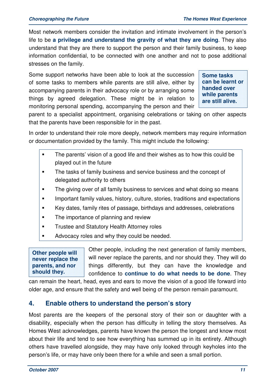Most network members consider the invitation and intimate involvement in the person's life to be **a privilege and understand the gravity of what they are doing**. They also understand that they are there to support the person and their family business, to keep information confidential, to be connected with one another and not to pose additional stresses on the family.

Some support networks have been able to look at the succession of some tasks to members while parents are still alive, either by accompanying parents in their advocacy role or by arranging some things by agreed delegation. These might be in relation to monitoring personal spending, accompanying the person and their

**Some tasks can be learnt or handed over while parents are still alive.** 

parent to a specialist appointment, organising celebrations or taking on other aspects that the parents have been responsible for in the past.

In order to understand their role more deeply, network members may require information or documentation provided by the family. This might include the following:

- The parents' vision of a good life and their wishes as to how this could be played out in the future
- **The tasks of family business and service business and the concept of** delegated authority to others
- The giving over of all family business to services and what doing so means
- Important family values, history, culture, stories, traditions and expectations
- Key dates, family rites of passage, birthdays and addresses, celebrations
- The importance of planning and review
- **Trustee and Statutory Health Attorney roles**
- Advocacy roles and why they could be needed.

**Other people will never replace the parents, and nor should they.** 

Other people, including the next generation of family members, will never replace the parents, and nor should they. They will do things differently, but they can have the knowledge and confidence to **continue to do what needs to be done**. They

can remain the heart, head, eyes and ears to move the vision of a good life forward into older age, and ensure that the safety and well being of the person remain paramount.

#### **4. Enable others to understand the person's story**

Most parents are the keepers of the personal story of their son or daughter with a disability, especially when the person has difficulty in telling the story themselves. As Homes West acknowledges, parents have known the person the longest and know most about their life and tend to see how everything has summed up in its entirety. Although others have travelled alongside, they may have only looked through keyholes into the person's life, or may have only been there for a while and seen a small portion.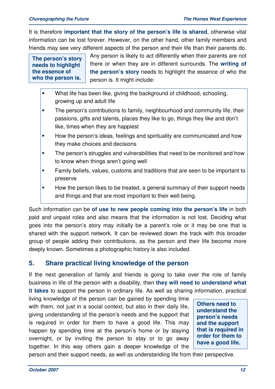It is therefore **important that the story of the person's life is shared**, otherwise vital information can be lost forever. However, on the other hand, other family members and friends may see very different aspects of the person and their life than their parents do.

**The person's story needs to highlight the essence of who the person is.** 

Any person is likely to act differently when their parents are not there or when they are in different surrounds. The **writing of the person's story** needs to highlight the essence of who the person is. It might include:

- **What life has been like, giving the background of childhood, schooling,** growing up and adult life
- **The person's contributions to family, neighbourhood and community life, their** passions, gifts and talents, places they like to go, things they like and don't like, times when they are happiest
- **How the person's ideas, feelings and spirituality are communicated and how** they make choices and decisions
- **The person's struggles and vulnerabilities that need to be monitored and how** to know when things aren't going well
- Family beliefs, values, customs and traditions that are seen to be important to preserve
- How the person likes to be treated, a general summary of their support needs and things and that are most important to their well being.

Such information can be **of use to new people coming into the person's life** in both paid and unpaid roles and also means that the information is not lost. Deciding what goes into the person's story may initially be a parent's role or it may be one that is shared with the support network. It can be reviewed down the track with this broader group of people adding their contributions, as the person and their life become more deeply known. Sometimes a photographic history is also included.

### **5. Share practical living knowledge of the person**

If the next generation of family and friends is going to take over the role of family business in life of the person with a disability, then **they will need to understand what it takes** to support the person in ordinary life. As well as sharing information, practical

living knowledge of the person can be gained by spending time with them, not just in a social context, but also in their daily life, giving understanding of the person's needs and the support that is required in order for them to have a good life. This may happen by spending time at the person's home or by staying overnight, or by inviting the person to stay or to go away together. In this way others gain a deeper knowledge of the

**Others need to understand the person's needs and the support that is required in order for them to have a good life.** 

person and their support needs, as well as understanding life from their perspective.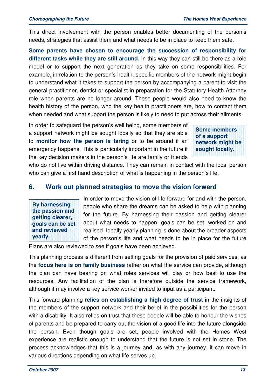This direct involvement with the person enables better documenting of the person's needs, strategies that assist them and what needs to be in place to keep them safe.

**Some parents have chosen to encourage the succession of responsibility for different tasks while they are still around.** In this way they can still be there as a role model or to support the next generation as they take on some responsibilities. For example, in relation to the person's health, specific members of the network might begin to understand what it takes to support the person by accompanying a parent to visit the general practitioner, dentist or specialist in preparation for the Statutory Health Attorney role when parents are no longer around. These people would also need to know the health history of the person, who the key health practitioners are, how to contact them when needed and what support the person is likely to need to put across their ailments.

In order to safeguard the person's well being, some members of a support network might be sought locally so that they are able to **monitor how the person is faring** or to be around if an emergency happens. This is particularly important in the future if the key decision makers in the person's life are family or friends

**Some members of a support network might be sought locally.** 

who do not live within driving distance. They can remain in contact with the local person who can give a first hand description of what is happening in the person's life.

#### **6. Work out planned strategies to move the vision forward**

**By harnessing the passion and getting clearer, goals can be set and reviewed yearly.**

In order to move the vision of life forward for and with the person, people who share the dreams can be asked to help with planning for the future. By harnessing their passion and getting clearer about what needs to happen, goals can be set, worked on and realised. Ideally yearly planning is done about the broader aspects of the person's life and what needs to be in place for the future

Plans are also reviewed to see if goals have been achieved.

This planning process is different from setting goals for the provision of paid services, as the **focus here is on family business** rather on what the service can provide, although the plan can have bearing on what roles services will play or how best to use the resources. Any facilitation of the plan is therefore outside the service framework, although it may involve a key service worker invited to input as a participant.

This forward planning **relies on establishing a high degree of trust** in the insights of the members of the support network and their belief in the possibilities for the person with a disability. It also relies on trust that these people will be able to honour the wishes of parents and be prepared to carry out the vision of a good life into the future alongside the person. Even though goals are set, people involved with the Homes West experience are realistic enough to understand that the future is not set in stone. The process acknowledges that this is a journey and, as with any journey, it can move in various directions depending on what life serves up.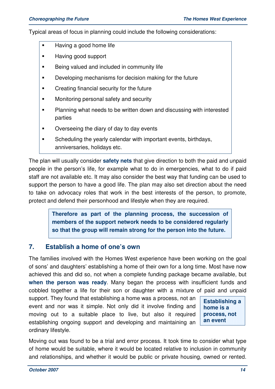Typical areas of focus in planning could include the following considerations:

- **Having a good home life**
- **Having good support**
- Being valued and included in community life
- **Developing mechanisms for decision making for the future**
- **•** Creating financial security for the future
- **Monitoring personal safety and security**
- **Planning what needs to be written down and discussing with interested** parties
- Overseeing the diary of day to day events
- **Scheduling the yearly calendar with important events, birthdays,** anniversaries, holidays etc.

The plan will usually consider **safety nets** that give direction to both the paid and unpaid people in the person's life, for example what to do in emergencies, what to do if paid staff are not available etc. It may also consider the best way that funding can be used to support the person to have a good life. The plan may also set direction about the need to take on advocacy roles that work in the best interests of the person, to promote, protect and defend their personhood and lifestyle when they are required.

> **Therefore as part of the planning process, the succession of members of the support network needs to be considered regularly so that the group will remain strong for the person into the future.**

#### **7. Establish a home of one's own**

The families involved with the Homes West experience have been working on the goal of sons' and daughters' establishing a home of their own for a long time. Most have now achieved this and did so, not when a complete funding package became available, but **when the person was ready**. Many began the process with insufficient funds and cobbled together a life for their son or daughter with a mixture of paid and unpaid

support. They found that establishing a home was a process, not an event and nor was it simple. Not only did it involve finding and moving out to a suitable place to live, but also it required establishing ongoing support and developing and maintaining an ordinary lifestyle.

**Establishing a home is a process, not an event** 

Moving out was found to be a trial and error process. It took time to consider what type of home would be suitable, where it would be located relative to inclusion in community and relationships, and whether it would be public or private housing, owned or rented.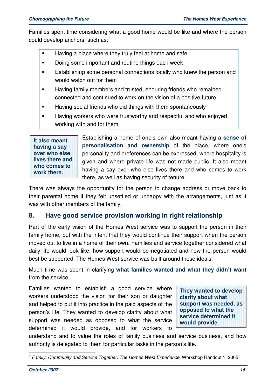Families spent time considering what a good home would be like and where the person could develop anchors, such as:<sup>1</sup>

- **Having a place where they truly feel at home and safe**
- Doing some important and routine things each week
- **Establishing some personal connections locally who knew the person and** would watch out for them
- Having family members and trusted, enduring friends who remained connected and continued to work on the vision of a positive future
- **Having social friends who did things with them spontaneously**
- **Having workers who were trustworthy and respectful and who enjoyed** working with and for them.

**It also meant having a say over who else lives there and who comes to work there.**

Establishing a home of one's own also meant having **a sense of personalisation and ownership** of the place, where one's personality and preferences can be expressed, where hospitality is given and where private life was not made public. It also meant having a say over who else lives there and who comes to work there, as well as having security of tenure.

There was always the opportunity for the person to change address or move back to their parental home if they felt unsettled or unhappy with the arrangements, just as it was with other members of the family.

### **8. Have good service provision working in right relationship**

Part of the early vision of the Homes West service was to support the person in their family home, but with the intent that they would continue their support when the person moved out to live in a home of their own. Families and service together considered what daily life would look like, how support would be negotiated and how the person would best be supported. The Homes West service was built around these ideals.

Much time was spent in clarifying **what families wanted and what they didn't want** from the service.

Families wanted to establish a good service where workers understood the vision for their son or daughter and helped to put it into practice in the paid aspects of the person's life. They wanted to develop clarity about what support was needed as opposed to what the service determined it would provide, and for workers to

**They wanted to develop clarity about what support was needed, as opposed to what the service determined it would provide.**

understand and to value the roles of family business and service business, and how authority is delegated to them for particular tasks in the person's life.

 <sup>1</sup> Family, Community and Service Together: The Homes West Experience, Workshop Handout 1, 2005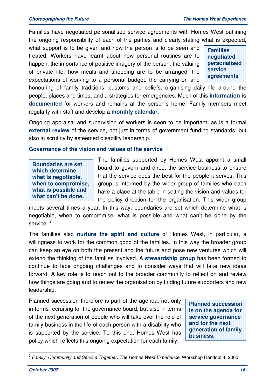Families have negotiated personalised service agreements with Homes West outlining the ongoing responsibility of each of the parties and clearly stating what is expected,

what support is to be given and how the person is to be seen and treated. Workers have learnt about how personal routines are to happen, the importance of positive imagery of the person, the valuing of private life, how meals and shopping are to be arranged, the expectations of working to a personal budget, the carrying on and

**Families negotiated personalised service agreements** 

honouring of family traditions, customs and beliefs, organising daily life around the people, places and times, and a strategies for emergencies. Much of this **information is documented** for workers and remains at the person's home. Family members meet regularly with staff and develop a **monthly calendar**.

Ongoing appraisal and supervision of workers is seen to be important, as is a formal **external review** of the service, not just in terms of government funding standards, but also in scrutiny by esteemed disability leadership.

#### **Governance of the vision and values of the service**

**Boundaries are set which determine what is negotiable, when to compromise, what is possible and what can't be done.**

The families supported by Homes West appoint a small board to govern and direct the service business to ensure that the service does the best for the people it serves. This group is informed by the wider group of families who each have a place at the table in setting the vision and values for the policy direction for the organisation. This wider group

meets several times a year. In this way, boundaries are set which determine what is negotiable, when to compromise, what is possible and what can't be done by the service.<sup>2</sup>

The families also **nurture the spirit and culture** of Homes West, in particular, a willingness to work for the common good of the families. In this way the broader group can keep an eye on both the present and the future and pose new ventures which will extend the thinking of the families involved. A **stewardship group** has been formed to continue to face ongoing challenges and to consider ways that will take new ideas forward. A key role is to reach out to the broader community to reflect on and review how things are going and to renew the organisation by finding future supporters and new leadership.

Planned succession therefore is part of the agenda, not only in terms recruiting for the governance board, but also in terms of the next generation of people who will take over the role of family business in the life of each person with a disability who is supported by the service. To this end, Homes West has policy which reflects this ongoing expectation for each family.

**Planned succession is on the agenda for service governance and for the next generation of family business.**

 2 Family, Community and Service Together: The Homes West Experience, Workshop Handout 4, 2005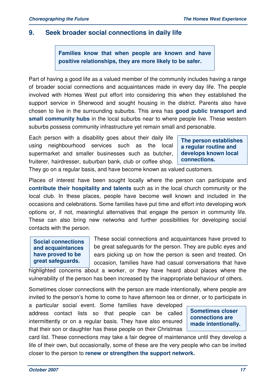#### **9. Seek broader social connections in daily life**

**Families know that when people are known and have positive relationships, they are more likely to be safer.** 

Part of having a good life as a valued member of the community includes having a range of broader social connections and acquaintances made in every day life. The people involved with Homes West put effort into considering this when they established the support service in Sherwood and sought housing in the district. Parents also have chosen to live in the surrounding suburbs. This area has **good public transport and small community hubs** in the local suburbs near to where people live. These western suburbs possess community infrastructure yet remain small and personable.

Each person with a disability goes about their daily life using neighbourhood services such as the local supermarket and smaller businesses such as butcher, fruiterer, hairdresser, suburban bank, club or coffee shop.

**The person establishes a regular routine and develops known local connections.** 

They go on a regular basis, and have become known as valued customers.

Places of interest have been sought locally where the person can participate and **contribute their hospitality and talents** such as in the local church community or the local club. In these places, people have become well known and included in the occasions and celebrations. Some families have put time and effort into developing work options or, if not, meaningful alternatives that engage the person in community life. These can also bring new networks and further possibilities for developing social contacts with the person.

**Social connections and acquaintances have proved to be great safeguards.** 

These social connections and acquaintances have proved to be great safeguards for the person. They are public eyes and ears picking up on how the person is seen and treated. On occasion, families have had casual conversations that have

highlighted concerns about a worker, or they have heard about places where the vulnerability of the person has been increased by the inappropriate behaviour of others.

Sometimes closer connections with the person are made intentionally, where people are invited to the person's home to come to have afternoon tea or dinner, or to participate in

a particular social event. Some families have developed address contact lists so that people can be called intermittently or on a regular basis. They have also ensured that their son or daughter has these people on their Christmas

**Sometimes closer connections are made intentionally.** 

card list. These connections may take a fair degree of maintenance until they develop a life of their own, but occasionally, some of these are the very people who can be invited closer to the person to **renew or strengthen the support network.**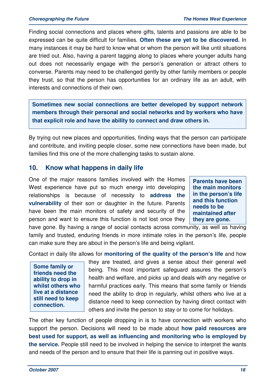Finding social connections and places where gifts, talents and passions are able to be expressed can be quite difficult for families. **Often these are yet to be discovered.** In many instances it may be hard to know what or whom the person will like until situations are tried out. Also, having a parent tagging along to places where younger adults hang out does not necessarily engage with the person's generation or attract others to converse. Parents may need to be challenged gently by other family members or people they trust, so that the person has opportunities for an ordinary life as an adult, with interests and connections of their own.

**Sometimes new social connections are better developed by support network members through their personal and social networks and by workers who have that explicit role and have the ability to connect and draw others in.** 

By trying out new places and opportunities, finding ways that the person can participate and contribute, and inviting people closer, some new connections have been made, but families find this one of the more challenging tasks to sustain alone.

#### **10. Know what happens in daily life**

One of the major reasons families involved with the Homes West experience have put so much energy into developing relationships is because of necessity to **address the vulnerability** of their son or daughter in the future. Parents have been the main monitors of safety and security of the person and want to ensure this function is not lost once they

**Parents have been the main monitors in the person's life and this function needs to be maintained after they are gone.**

have gone. By having a range of social contacts across community, as well as having family and trusted, enduring friends in more intimate roles in the person's life, people can make sure they are about in the person's life and being vigilant.

Contact in daily life allows for **monitoring of the quality of the person's life** and how

**Some family or friends need the ability to drop in whilst others who live at a distance still need to keep connection.** 

they are treated, and gives a sense about their general well being. This most important safeguard assures the person's health and welfare, and picks up and deals with any negative or harmful practices early. This means that some family or friends need the ability to drop in regularly, whilst others who live at a distance need to keep connection by having direct contact with others and invite the person to stay or to come for holidays.

The other key function of people dropping in is to have connection with workers who support the person. Decisions will need to be made about **how paid resources are best used for support, as well as influencing and monitoring who is employed by the service.** People still need to be involved in helping the service to interpret the wants and needs of the person and to ensure that their life is panning out in positive ways.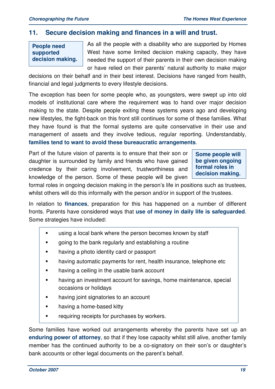#### **11. Secure decision making and finances in a will and trust.**

### **People need supported decision making.**

As all the people with a disability who are supported by Homes West have some limited decision making capacity, they have needed the support of their parents in their own decision making or have relied on their parents' natural authority to make major

decisions on their behalf and in their best interest. Decisions have ranged from health, financial and legal judgments to every lifestyle decisions.

The exception has been for some people who, as youngsters, were swept up into old models of institutional care where the requirement was to hand over major decision making to the state. Despite people exiting these systems years ago and developing new lifestyles, the fight-back on this front still continues for some of these families. What they have found is that the formal systems are quite conservative in their use and management of assets and they involve tedious, regular reporting. Understandably, **families tend to want to avoid these bureaucratic arrangements**.

Part of the future vision of parents is to ensure that their son or daughter is surrounded by family and friends who have gained credence by their caring involvement, trustworthiness and knowledge of the person. Some of these people will be given **Some people will be given ongoing formal roles in decision making.** 

formal roles in ongoing decision making in the person's life in positions such as trustees, whilst others will do this informally with the person and/or in support of the trustees.

In relation to **finances**, preparation for this has happened on a number of different fronts. Parents have considered ways that **use of money in daily life is safeguarded**. Some strategies have included:

- **using a local bank where the person becomes known by staff**
- going to the bank regularly and establishing a routine
- **having a photo identity card or passport**
- **having automatic payments for rent, health insurance, telephone etc**
- having a ceiling in the usable bank account
- **having an investment account for savings, home maintenance, special** occasions or holidays
- **having joint signatories to an account**
- **having a home-based kitty**
- **Fig. 2** requiring receipts for purchases by workers.

Some families have worked out arrangements whereby the parents have set up an **enduring power of attorney**, so that if they lose capacity whilst still alive, another family member has the continued authority to be a co-signatory on their son's or daughter's bank accounts or other legal documents on the parent's behalf.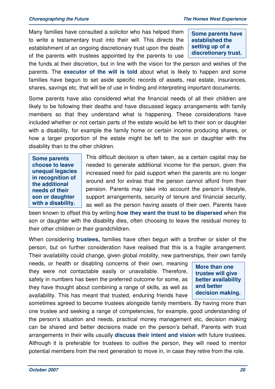Many families have consulted a solicitor who has helped them to write a testamentary trust into their will. This directs the establishment of an ongoing discretionary trust upon the death of the parents with trustees appointed by the parents to use

**Some parents have established the setting up of a discretionary trust.** 

the funds at their discretion, but in line with the vision for the person and wishes of the parents. The **executor of the will is told** about what is likely to happen and some families have begun to set aside specific records of assets, real estate, insurances, shares, savings etc, that will be of use in finding and interpreting important documents.

Some parents have also considered what the financial needs of all their children are likely to be following their deaths and have discussed legacy arrangements with family members so that they understand what is happening. These considerations have included whether or not certain parts of the estate would be left to their son or daughter with a disability, for example the family home or certain income producing shares, or how a larger proportion of the estate might be left to the son or daughter with the disability than to the other children.

**Some parents choose to leave unequal legacies in recognition of the additional needs of their son or daughter with a disability.**

This difficult decision is often taken, as a certain capital may be needed to generate additional income for the person, given the increased need for paid support when the parents are no longer around and for extras that the person cannot afford from their pension. Parents may take into account the person's lifestyle, support arrangements, security of tenure and financial security, as well as the person having assets of their own. Parents have

been known to offset this by writing **how they want the trust to be dispersed** when the son or daughter with the disability dies, often choosing to leave the residual money to their other children or their grandchildren.

When considering **trustees,** families have often begun with a brother or sister of the person, but on further consideration have realised that this is a fragile arrangement. Their availability could change, given global mobility, new partnerships, their own family

needs, or health or disabling concerns of their own, meaning they were not contactable easily or unavailable. Therefore, safety in numbers has been the preferred outcome for some, as they have thought about combining a range of skills, as well as availability. This has meant that trusted, enduring friends have

**More than one trustee will give better availability and better decision making.** 

sometimes agreed to become trustees alongside family members. By having more than one trustee and seeking a range of competencies, for example, good understanding of the person's situation and needs, practical money management etc, decision making can be shared and better decisions made on the person's behalf, Parents with trust arrangements in their wills usually **discuss their intent and vision** with future trustees. Although it is preferable for trustees to outlive the person, they will need to mentor potential members from the next generation to move in, in case they retire from the role.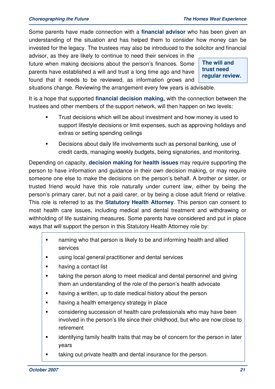Some parents have made connection with a **financial advisor** who has been given an understanding of the situation and has helped them to consider how money can be invested for the legacy. The trustees may also be introduced to the solicitor and financial

advisor, as they are likely to continue to need their services in the future when making decisions about the person's finances. Some parents have established a will and trust a long time ago and have found that it needs to be reviewed, as information grows and

**The will and trust need regular review.** 

situations change. Reviewing the arrangement every few years is advisable.

It is a hope that supported **financial decision making,** with the connection between the trustees and other members of the support network, will then happen on two levels:

- **Trust decisions which will be about investment and how money is used to** support lifestyle decisions or limit expenses, such as approving holidays and extras or setting spending ceilings
- Decisions about daily life involvements such as personal banking, use of credit cards, managing weekly budgets, being signatories, and monitoring.

Depending on capacity, **decision making for health issues** may require supporting the person to have information and guidance in their own decision making, or may require someone one else to make the decisions on the person's behalf. A brother or sister, or trusted friend would have this role naturally under current law, either by being the person's primary carer, but not a paid carer, or by being a close adult friend or relative. This role is referred to as the **Statutory Health Attorney**. This person can consent to most health care issues, including medical and dental treatment and withdrawing or withholding of life sustaining measures. Some parents have considered and put in place ways that will support the person in this Statutory Health Attorney role by:

- **naming who that person is likely to be and informing health and allied** services
- using local general practitioner and dental services
- **having a contact list**
- taking the person along to meet medical and dental personnel and giving them an understanding of the role of the person's health advocate
- **having a written, up to date medical history about the person**
- having a health emergency strategy in place
- considering succession of health care professionals who may have been involved in the person's life since their childhood, but who are now close to retirement
- **Example 1** identifying family health traits that may be of concern for the person in later years
- taking out private health and dental insurance for the person.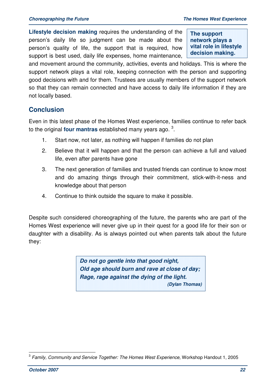**Lifestyle decision making** requires the understanding of the person's daily life so judgment can be made about the person's quality of life, the support that is required, how support is best used, daily life expenses, home maintenance,

**The support network plays a vital role in lifestyle decision making.** 

and movement around the community, activities, events and holidays. This is where the support network plays a vital role, keeping connection with the person and supporting good decisions with and for them. Trustees are usually members of the support network so that they can remain connected and have access to daily life information if they are not locally based.

#### **Conclusion**

Even in this latest phase of the Homes West experience, families continue to refer back to the original **four mantras** established many years ago. <sup>3</sup>.

- 1. Start now, not later, as nothing will happen if families do not plan
- 2. Believe that it will happen and that the person can achieve a full and valued life, even after parents have gone
- 3. The next generation of families and trusted friends can continue to know most and do amazing things through their commitment, stick-with-it-ness and knowledge about that person
- 4. Continue to think outside the square to make it possible.

Despite such considered choreographing of the future, the parents who are part of the Homes West experience will never give up in their quest for a good life for their son or daughter with a disability. As is always pointed out when parents talk about the future they:

> **Do not go gentle into that good night, Old age should burn and rave at close of day; Rage, rage against the dying of the light. (Dylan Thomas)**

 3 Family, Community and Service Together: The Homes West Experience, Workshop Handout 1, 2005